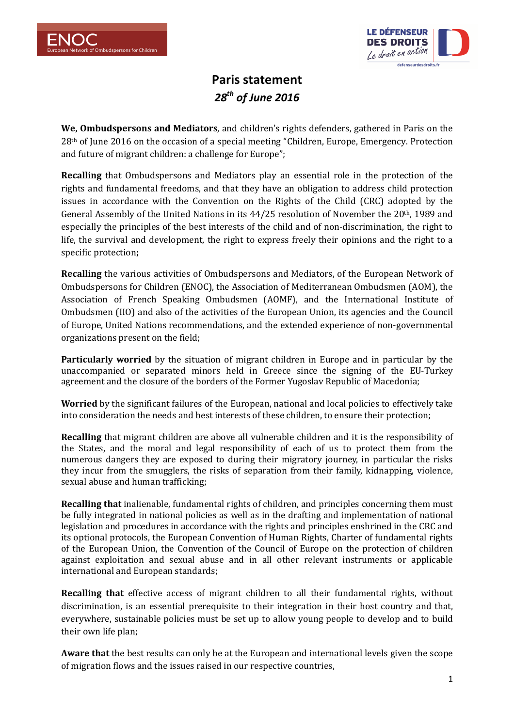



## **Paris statement**  *28th of June 2016*

**We, Ombudspersons and Mediators**, and children's rights defenders, gathered in Paris on the 28th of June 2016 on the occasion of a special meeting "Children, Europe, Emergency. Protection and future of migrant children: a challenge for Europe";

**Recalling** that Ombudspersons and Mediators play an essential role in the protection of the rights and fundamental freedoms, and that they have an obligation to address child protection issues in accordance with the Convention on the Rights of the Child (CRC) adopted by the General Assembly of the United Nations in its 44/25 resolution of November the 20th, 1989 and especially the principles of the best interests of the child and of non-discrimination, the right to life, the survival and development, the right to express freely their opinions and the right to a specific protection**;** 

**Recalling** the various activities of Ombudspersons and Mediators, of the European Network of Ombudspersons for Children (ENOC), the Association of Mediterranean Ombudsmen (AOM), the Association of French Speaking Ombudsmen (AOMF), and the International Institute of Ombudsmen (IIO) and also of the activities of the European Union, its agencies and the Council of Europe, United Nations recommendations, and the extended experience of non-governmental organizations present on the field;

**Particularly worried** by the situation of migrant children in Europe and in particular by the unaccompanied or separated minors held in Greece since the signing of the EU-Turkey agreement and the closure of the borders of the Former Yugoslav Republic of Macedonia;

**Worried** by the significant failures of the European, national and local policies to effectively take into consideration the needs and best interests of these children, to ensure their protection;

**Recalling** that migrant children are above all vulnerable children and it is the responsibility of the States, and the moral and legal responsibility of each of us to protect them from the numerous dangers they are exposed to during their migratory journey, in particular the risks they incur from the smugglers, the risks of separation from their family, kidnapping, violence, sexual abuse and human trafficking;

**Recalling that** inalienable, fundamental rights of children, and principles concerning them must be fully integrated in national policies as well as in the drafting and implementation of national legislation and procedures in accordance with the rights and principles enshrined in the CRC and its optional protocols, the European Convention of Human Rights, Charter of fundamental rights of the European Union, the Convention of the Council of Europe on the protection of children against exploitation and sexual abuse and in all other relevant instruments or applicable international and European standards;

**Recalling that** effective access of migrant children to all their fundamental rights, without discrimination, is an essential prerequisite to their integration in their host country and that, everywhere, sustainable policies must be set up to allow young people to develop and to build their own life plan;

**Aware that** the best results can only be at the European and international levels given the scope of migration flows and the issues raised in our respective countries,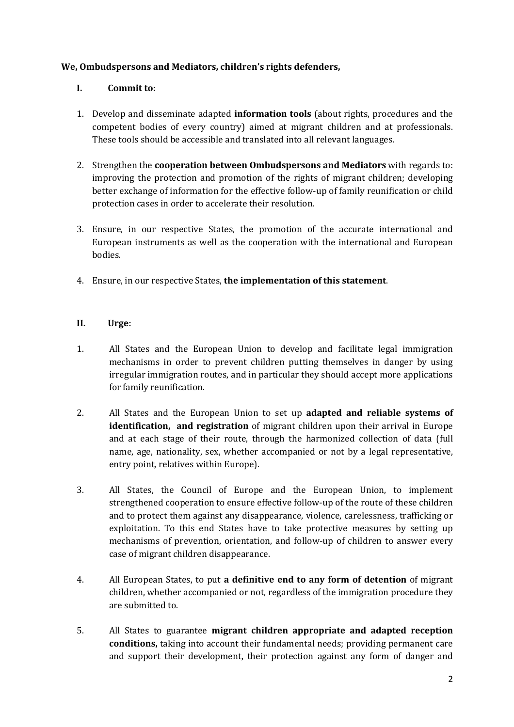## **We, Ombudspersons and Mediators, children's rights defenders,**

## **I. Commit to:**

- 1. Develop and disseminate adapted **information tools** (about rights, procedures and the competent bodies of every country) aimed at migrant children and at professionals. These tools should be accessible and translated into all relevant languages.
- 2. Strengthen the **cooperation between Ombudspersons and Mediators** with regards to: improving the protection and promotion of the rights of migrant children; developing better exchange of information for the effective follow-up of family reunification or child protection cases in order to accelerate their resolution.
- 3. Ensure, in our respective States, the promotion of the accurate international and European instruments as well as the cooperation with the international and European bodies.
- 4. Ensure, in our respective States, **the implementation of this statement**.

## **II. Urge:**

- 1. All States and the European Union to develop and facilitate legal immigration mechanisms in order to prevent children putting themselves in danger by using irregular immigration routes, and in particular they should accept more applications for family reunification.
- 2. All States and the European Union to set up **adapted and reliable systems of identification, and registration** of migrant children upon their arrival in Europe and at each stage of their route, through the harmonized collection of data (full name, age, nationality, sex, whether accompanied or not by a legal representative, entry point, relatives within Europe).
- 3. All States, the Council of Europe and the European Union, to implement strengthened cooperation to ensure effective follow-up of the route of these children and to protect them against any disappearance, violence, carelessness, trafficking or exploitation. To this end States have to take protective measures by setting up mechanisms of prevention, orientation, and follow-up of children to answer every case of migrant children disappearance.
- 4. All European States, to put **a definitive end to any form of detention** of migrant children, whether accompanied or not, regardless of the immigration procedure they are submitted to.
- 5. All States to guarantee **migrant children appropriate and adapted reception conditions,** taking into account their fundamental needs; providing permanent care and support their development, their protection against any form of danger and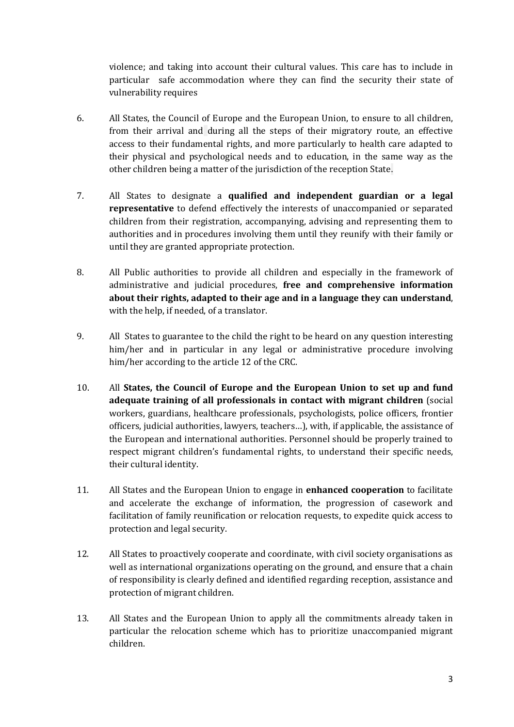violence; and taking into account their cultural values. This care has to include in particular safe accommodation where they can find the security their state of vulnerability requires

- 6. All States, the Council of Europe and the European Union, to ensure to all children, from their arrival and during all the steps of their migratory route, an effective access to their fundamental rights, and more particularly to health care adapted to their physical and psychological needs and to education, in the same way as the other children being a matter of the jurisdiction of the reception State.
- 7. All States to designate a **qualified and independent guardian or a legal representative** to defend effectively the interests of unaccompanied or separated children from their registration, accompanying, advising and representing them to authorities and in procedures involving them until they reunify with their family or until they are granted appropriate protection.
- 8. All Public authorities to provide all children and especially in the framework of administrative and judicial procedures, **free and comprehensive information about their rights, adapted to their age and in a language they can understand**, with the help, if needed, of a translator.
- 9. All States to guarantee to the child the right to be heard on any question interesting him/her and in particular in any legal or administrative procedure involving him/her according to the article 12 of the CRC.
- 10. All **States, the Council of Europe and the European Union to set up and fund adequate training of all professionals in contact with migrant children** (social workers, guardians, healthcare professionals, psychologists, police officers, frontier officers, judicial authorities, lawyers, teachers…), with, if applicable, the assistance of the European and international authorities. Personnel should be properly trained to respect migrant children's fundamental rights, to understand their specific needs, their cultural identity.
- 11. All States and the European Union to engage in **enhanced cooperation** to facilitate and accelerate the exchange of information, the progression of casework and facilitation of family reunification or relocation requests, to expedite quick access to protection and legal security.
- 12. All States to proactively cooperate and coordinate, with civil society organisations as well as international organizations operating on the ground, and ensure that a chain of responsibility is clearly defined and identified regarding reception, assistance and protection of migrant children.
- 13. All States and the European Union to apply all the commitments already taken in particular the relocation scheme which has to prioritize unaccompanied migrant children.